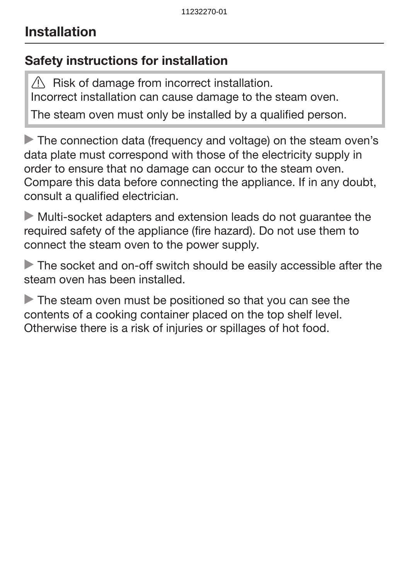## Safety instructions for installation

 $\sqrt{N}$  Risk of damage from incorrect installation. Incorrect installation can cause damage to the steam oven.

The steam oven must only be installed by a qualified person.

The connection data (frequency and voltage) on the steam oven's data plate must correspond with those of the electricity supply in order to ensure that no damage can occur to the steam oven. Compare this data before connecting the appliance. If in any doubt, consult a qualified electrician.

 Multi-socket adapters and extension leads do not guarantee the required safety of the appliance (fire hazard). Do not use them to connect the steam oven to the power supply.

The socket and on-off switch should be easily accessible after the steam oven has been installed.

The steam oven must be positioned so that you can see the contents of a cooking container placed on the top shelf level. Otherwise there is a risk of injuries or spillages of hot food.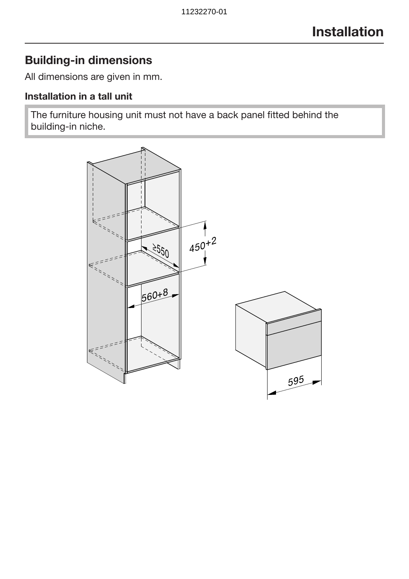## Building-in dimensions

All dimensions are given in mm.

### Installation in a tall unit

The furniture housing unit must not have a back panel fitted behind the building-in niche.

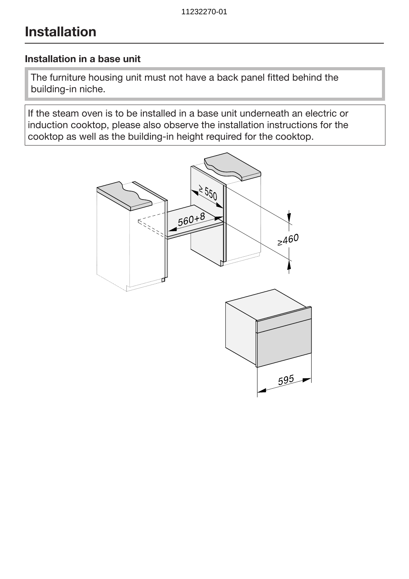#### Installation in a base unit

The furniture housing unit must not have a back panel fitted behind the building-in niche.

If the steam oven is to be installed in a base unit underneath an electric or induction cooktop, please also observe the installation instructions for the cooktop as well as the building-in height required for the cooktop.

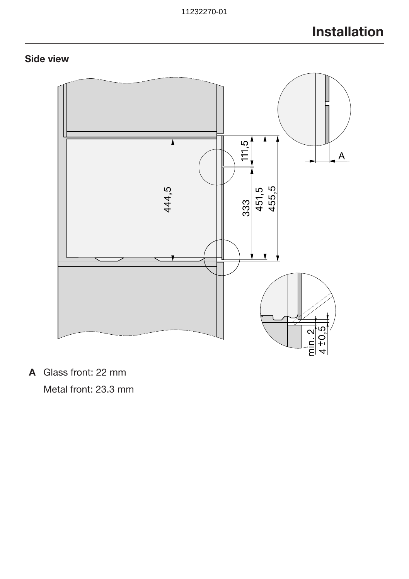### Side view



A Glass front: 22 mm Metal front: 23.3 mm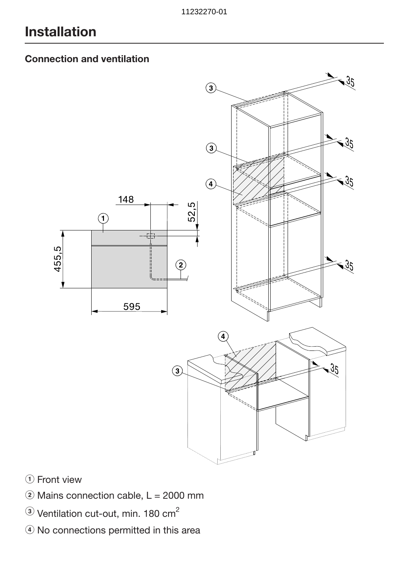### Connection and ventilation



- $\Omega$  Front view
- $\ddot{ }$  Mains connection cable, L = 2000 mm
- $\circledR$  Ventilation cut-out, min. 180 cm<sup>2</sup>
- d No connections permitted in this area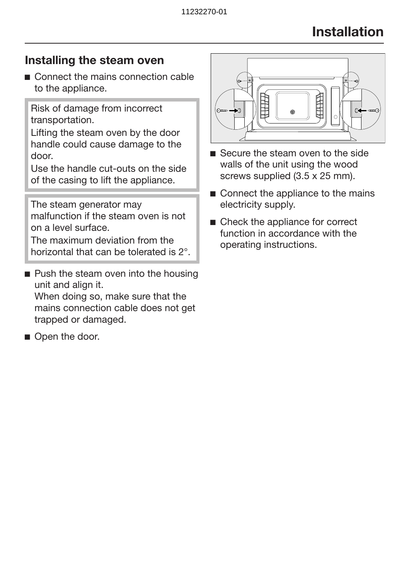### Installing the steam oven

■ Connect the mains connection cable to the appliance.

Risk of damage from incorrect transportation.

Lifting the steam oven by the door handle could cause damage to the door.

Use the handle cut-outs on the side of the casing to lift the appliance.

The steam generator may malfunction if the steam oven is not on a level surface.

The maximum deviation from the horizontal that can be tolerated is 2°.

- $\blacksquare$  Push the steam oven into the housing unit and align it. When doing so, make sure that the mains connection cable does not get trapped or damaged.
- Open the door.



- Secure the steam oven to the side walls of the unit using the wood screws supplied (3.5 x 25 mm).
- Connect the appliance to the mains electricity supply.
- Check the appliance for correct function in accordance with the operating instructions.